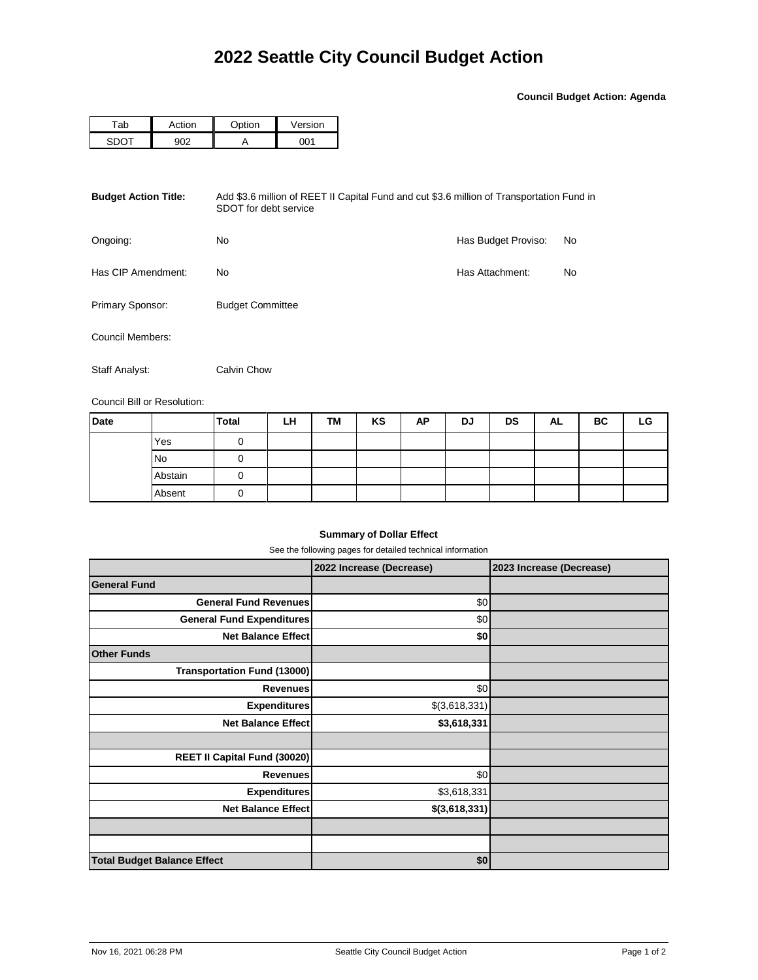**Council Budget Action: Agenda**

| n k<br>au | ction) | $\sim$ tion | Version |  |  |
|-----------|--------|-------------|---------|--|--|
|           |        |             | ነስላ     |  |  |

| <b>Budget Action Title:</b> | Add \$3.6 million of REET II Capital Fund and cut \$3.6 million of Transportation Fund in<br>SDOT for debt service |                     |    |  |  |  |  |
|-----------------------------|--------------------------------------------------------------------------------------------------------------------|---------------------|----|--|--|--|--|
| Ongoing:                    | No                                                                                                                 | Has Budget Proviso: | No |  |  |  |  |
| Has CIP Amendment:          | No.                                                                                                                | Has Attachment:     | No |  |  |  |  |
| Primary Sponsor:            | <b>Budget Committee</b>                                                                                            |                     |    |  |  |  |  |
| Council Members:            |                                                                                                                    |                     |    |  |  |  |  |
| Staff Analyst:              | Calvin Chow                                                                                                        |                     |    |  |  |  |  |

Council Bill or Resolution:

| <b>Date</b> |           | <b>Total</b> | LH | TM | KS | AP | DJ | <b>DS</b> | <b>AL</b> | BC | _G |
|-------------|-----------|--------------|----|----|----|----|----|-----------|-----------|----|----|
|             | Yes       |              |    |    |    |    |    |           |           |    |    |
|             | <b>No</b> |              |    |    |    |    |    |           |           |    |    |
|             | Abstain   |              |    |    |    |    |    |           |           |    |    |
|             | Absent    |              |    |    |    |    |    |           |           |    |    |

## **Summary of Dollar Effect**

See the following pages for detailed technical information

|                                    | 2022 Increase (Decrease) | 2023 Increase (Decrease) |
|------------------------------------|--------------------------|--------------------------|
| <b>General Fund</b>                |                          |                          |
| <b>General Fund Revenues</b>       | \$0                      |                          |
| <b>General Fund Expenditures</b>   | \$0                      |                          |
| <b>Net Balance Effect</b>          | \$0                      |                          |
| <b>Other Funds</b>                 |                          |                          |
| <b>Transportation Fund (13000)</b> |                          |                          |
| <b>Revenues</b>                    | \$0                      |                          |
| <b>Expenditures</b>                | \$(3,618,331)            |                          |
| <b>Net Balance Effect</b>          | \$3,618,331              |                          |
|                                    |                          |                          |
| REET II Capital Fund (30020)       |                          |                          |
| <b>Revenues</b>                    | \$0                      |                          |
| <b>Expenditures</b>                | \$3,618,331              |                          |
| <b>Net Balance Effect</b>          | \$(3,618,331)            |                          |
|                                    |                          |                          |
|                                    |                          |                          |
| <b>Total Budget Balance Effect</b> | \$0                      |                          |